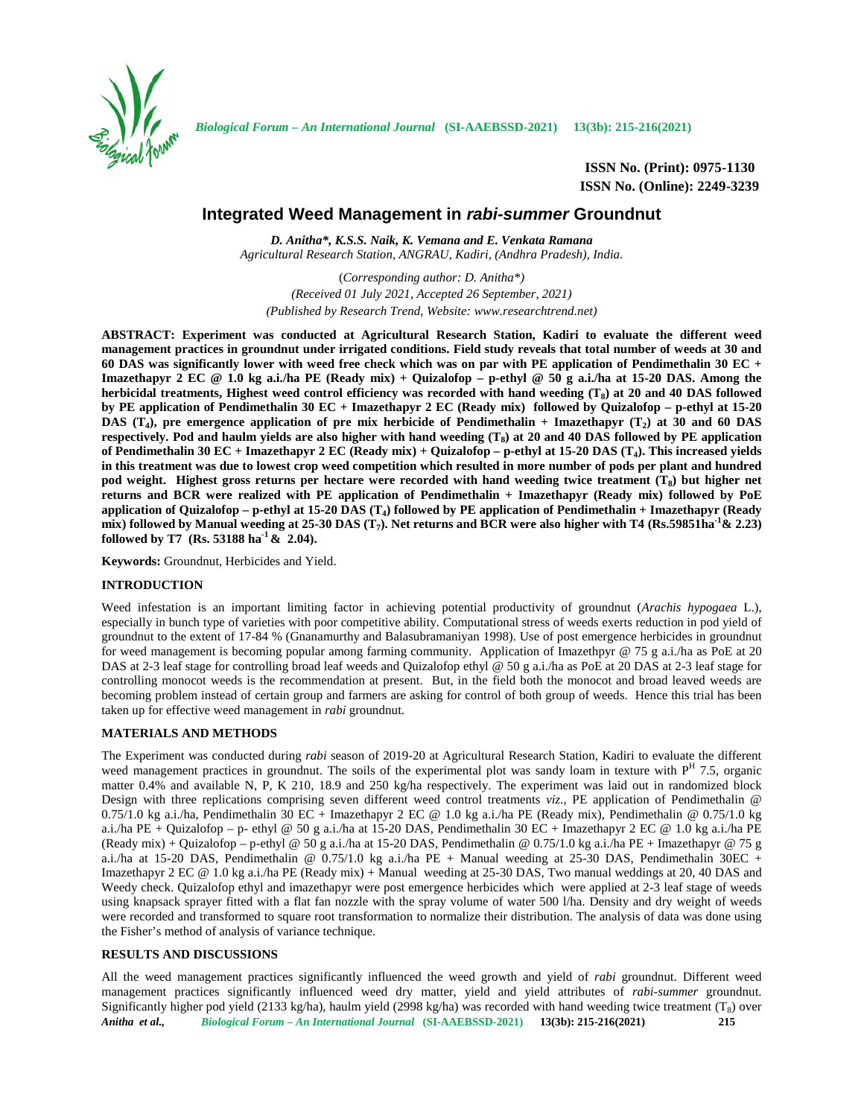

**ISSN No. (Print): 0975-1130 ISSN No. (Online): 2249-3239**

# **Integrated Weed Management in** *rabi-summer* **Groundnut**

*D. Anitha\*, K.S.S. Naik, K. Vemana and E. Venkata Ramana Agricultural Research Station, ANGRAU, Kadiri, (Andhra Pradesh), India.*

(*Corresponding author: D. Anitha\*) (Received 01 July 2021, Accepted 26 September, 2021) (Published by Research Trend, Website: <www.researchtrend.net>)*

**ABSTRACT: Experiment was conducted at Agricultural Research Station, Kadiri to evaluate the different weed management practices in groundnut under irrigated conditions. Field study reveals that total number of weeds at 30 and 60 DAS was significantly lower with weed free check which was on par with PE application of Pendimethalin 30 EC + Imazethapyr 2 EC @ 1.0 kg a.i./ha PE (Ready mix) + Quizalofop – p-ethyl @ 50 g a.i./ha at 15-20 DAS. Among the herbicidal treatments, Highest weed control efficiency was recorded with hand weeding (T<sup>8</sup> ) at 20 and 40 DAS followed by PE application of Pendimethalin 30 EC + Imazethapyr 2 EC (Ready mix) followed by Quizalofop – p-ethyl at 15-20 DAS (T<sup>4</sup> ), pre emergence application of pre mix herbicide of Pendimethalin + Imazethapyr (T<sup>2</sup> ) at 30 and 60 DAS respectively. Pod and haulm yields are also higher with hand weeding (T<sup>8</sup> ) at 20 and 40 DAS followed by PE application of Pendimethalin 30 EC + Imazethapyr 2 EC (Ready mix) + Quizalofop – p-ethyl at 15-20 DAS (T<sup>4</sup> ). This increased yields in this treatment was due to lowest crop weed competition which resulted in more number of pods per plant and hundred pod weight. Highest gross returns per hectare were recorded with hand weeding twice treatment (T<sup>8</sup> ) but higher net returns and BCR were realized with PE application of Pendimethalin + Imazethapyr (Ready mix) followed by PoE application of Quizalofop – p-ethyl at 15-20 DAS (T<sup>4</sup> ) followed by PE application of Pendimethalin + Imazethapyr (Ready mix) followed by Manual weeding at 25-30 DAS (T<sup>7</sup> ). Net returns and BCR were also higher with T4 (Rs.59851ha-1& 2.23) followed by T7 (Rs. 53188 ha-1 & 2.04).**

**Keywords:** Groundnut, Herbicides and Yield.

### **INTRODUCTION**

Weed infestation is an important limiting factor in achieving potential productivity of groundnut (*Arachis hypogaea* L.), especially in bunch type of varieties with poor competitive ability. Computational stress of weeds exerts reduction in pod yield of groundnut to the extent of 17-84 % (Gnanamurthy and Balasubramaniyan 1998). Use of post emergence herbicides in groundnut for weed management is becoming popular among farming community. Application of Imazethpyr @ 75 g a.i./ha as PoE at 20 DAS at 2-3 leaf stage for controlling broad leaf weeds and Quizalofop ethyl @ 50 g a.i./ha as PoE at 20 DAS at 2-3 leaf stage for controlling monocot weeds is the recommendation at present. But, in the field both the monocot and broad leaved weeds are becoming problem instead of certain group and farmers are asking for control of both group of weeds. Hence this trial has been taken up for effective weed management in *rabi* groundnut.

### **MATERIALS AND METHODS**

The Experiment was conducted during *rabi* season of 2019-20 at Agricultural Research Station, Kadiri to evaluate the different weed management practices in groundnut. The soils of the experimental plot was sandy loam in texture with  $P<sup>H</sup>$  7.5, organic matter 0.4% and available N, P, K 210, 18.9 and 250 kg/ha respectively. The experiment was laid out in randomized block Design with three replications comprising seven different weed control treatments *viz.,* PE application of Pendimethalin @ 0.75/1.0 kg a.i./ha, Pendimethalin 30 EC + Imazethapyr 2 EC @ 1.0 kg a.i./ha PE (Ready mix), Pendimethalin @ 0.75/1.0 kg a.i./ha PE + Quizalofop – p- ethyl @ 50 g a.i./ha at 15-20 DAS, Pendimethalin 30 EC + Imazethapyr 2 EC @ 1.0 kg a.i./ha PE (Ready mix) + Quizalofop – p-ethyl @ 50 g a.i./ha at 15-20 DAS, Pendimethalin @ 0.75/1.0 kg a.i./ha PE + Imazethapyr @ 75 g a.i./ha at 15-20 DAS, Pendimethalin @ 0.75/1.0 kg a.i./ha PE + Manual weeding at 25-30 DAS, Pendimethalin 30EC + Imazethapyr 2 EC @ 1.0 kg a.i./ha PE (Ready mix) + Manual weeding at 25-30 DAS, Two manual weddings at 20, 40 DAS and Weedy check. Quizalofop ethyl and imazethapyr were post emergence herbicides which were applied at 2-3 leaf stage of weeds using knapsack sprayer fitted with a flat fan nozzle with the spray volume of water 500 l/ha. Density and dry weight of weeds were recorded and transformed to square root transformation to normalize their distribution. The analysis of data was done using the Fisher's method of analysis of variance technique.

## **RESULTS AND DISCUSSIONS**

*Anitha et al., Biological Forum – An International Journal* **(SI-AAEBSSD-2021) 13(3b): 215-216(2021) 215** All the weed management practices significantly influenced the weed growth and yield of *rabi* groundnut. Different weed management practices significantly influenced weed dry matter, yield and yield attributes of *rabi-summer* groundnut. Significantly higher pod yield (2133 kg/ha), haulm yield (2998 kg/ha) was recorded with hand weeding twice treatment (T<sub>8</sub>) over